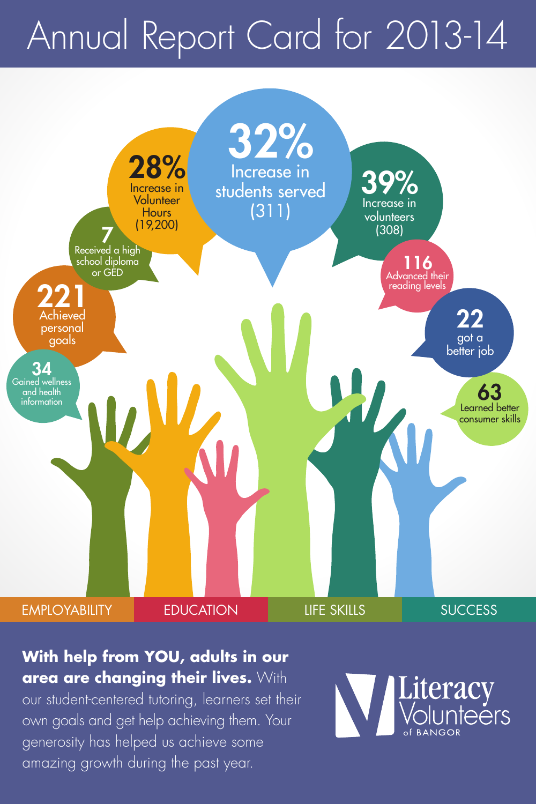# Annual Report Card for 2013-14



#### **With help from YOU, adults in our area are changing their lives.** With

our student-centered tutoring, learners set their own goals and get help achieving them. Your generosity has helped us achieve some amazing growth during the past year.